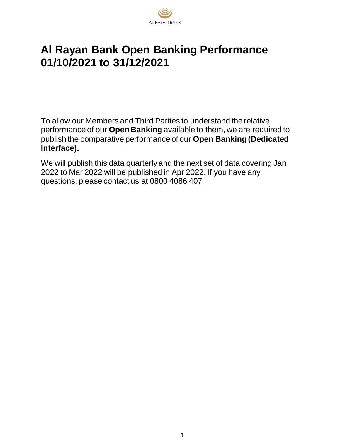

## **Al Rayan Bank Open Banking Performance 01/10/2021 to 31/12/2021**

To allow our Members and Third Parties to understand the relative performance of our **Open Banking** available to them, we are required to publish the comparative performance of our **Open Banking (Dedicated Interface).**

We will publish this data quarterly and the next set of data covering Jan 2022 to Mar 2022 will be published in Apr 2022. If you have any questions, please contact us at 0800 4086 407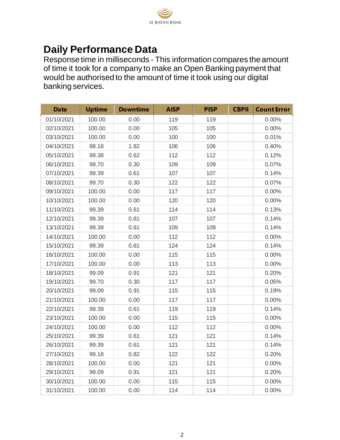

## **Daily Performance Data**

Response time in milliseconds - This information compares the amount of time it took for a company to make an Open Banking payment that would be authorised to the amount of time it took using our digital banking services.

| <b>Date</b> | <b>Uptime</b> | <b>Downtime</b> | <b>AISP</b> | <b>PISP</b> | <b>CBPII</b> | <b>Count Error</b> |
|-------------|---------------|-----------------|-------------|-------------|--------------|--------------------|
| 01/10/2021  | 100.00        | 0.00            | 119         | 119         |              | 0.00%              |
| 02/10/2021  | 100.00        | 0.00            | 105         | 105         |              | 0.00%              |
| 03/10/2021  | 100.00        | 0.00            | 100         | 100         |              | 0.01%              |
| 04/10/2021  | 98.18         | 1.82            | 106         | 106         |              | 0.40%              |
| 05/10/2021  | 99.38         | 0.62            | 112         | 112         |              | 0.12%              |
| 06/10/2021  | 99.70         | 0.30            | 109         | 109         |              | 0.07%              |
| 07/10/2021  | 99.39         | 0.61            | 107         | 107         |              | 0.14%              |
| 08/10/2021  | 99.70         | 0.30            | 122         | 122         |              | 0.07%              |
| 09/10/2021  | 100.00        | 0.00            | 117         | 117         |              | 0.00%              |
| 10/10/2021  | 100.00        | 0.00            | 120         | 120         |              | 0.00%              |
| 11/10/2021  | 99.39         | 0.61            | 114         | 114         |              | 0.13%              |
| 12/10/2021  | 99.39         | 0.61            | 107         | 107         |              | 0.14%              |
| 13/10/2021  | 99.39         | 0.61            | 109         | 109         |              | 0.14%              |
| 14/10/2021  | 100.00        | 0.00            | 112         | 112         |              | 0.00%              |
| 15/10/2021  | 99.39         | 0.61            | 124         | 124         |              | 0.14%              |
| 16/10/2021  | 100.00        | 0.00            | 115         | 115         |              | 0.00%              |
| 17/10/2021  | 100.00        | 0.00            | 113         | 113         |              | 0.00%              |
| 18/10/2021  | 99.09         | 0.91            | 121         | 121         |              | 0.20%              |
| 19/10/2021  | 99.70         | 0.30            | 117         | 117         |              | 0.05%              |
| 20/10/2021  | 99.09         | 0.91            | 115         | 115         |              | 0.19%              |
| 21/10/2021  | 100.00        | 0.00            | 117         | 117         |              | 0.00%              |
| 22/10/2021  | 99.39         | 0.61            | 119         | 119         |              | 0.14%              |
| 23/10/2021  | 100.00        | 0.00            | 115         | 115         |              | 0.00%              |
| 24/10/2021  | 100.00        | 0.00            | 112         | 112         |              | 0.00%              |
| 25/10/2021  | 99.39         | 0.61            | 121         | 121         |              | 0.14%              |
| 26/10/2021  | 99.39         | 0.61            | 121         | 121         |              | 0.14%              |
| 27/10/2021  | 99.18         | 0.82            | 122         | 122         |              | 0.20%              |
| 28/10/2021  | 100.00        | 0.00            | 121         | 121         |              | 0.00%              |
| 29/10/2021  | 99.09         | 0.91            | 121         | 121         |              | 0.20%              |
| 30/10/2021  | 100.00        | 0.00            | 115         | 115         |              | 0.00%              |
| 31/10/2021  | 100.00        | 0.00            | 114         | 114         |              | 0.00%              |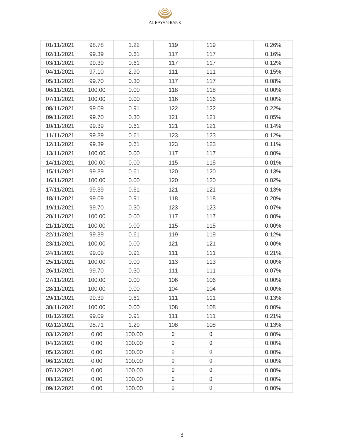| 01/11/2021 | 98.78  | 1.22   | 119              | 119              | 0.26%    |
|------------|--------|--------|------------------|------------------|----------|
| 02/11/2021 | 99.39  | 0.61   | 117              | 117              | 0.16%    |
| 03/11/2021 | 99.39  | 0.61   | 117              | 117              | 0.12%    |
| 04/11/2021 | 97.10  | 2.90   | 111              | 111              | 0.15%    |
| 05/11/2021 | 99.70  | 0.30   | 117              | 117              | 0.08%    |
| 06/11/2021 | 100.00 | 0.00   | 118              | 118              | 0.00%    |
| 07/11/2021 | 100.00 | 0.00   | 116              | 116              | 0.00%    |
| 08/11/2021 | 99.09  | 0.91   | 122              | 122              | 0.22%    |
| 09/11/2021 | 99.70  | 0.30   | 121              | 121              | 0.05%    |
| 10/11/2021 | 99.39  | 0.61   | 121              | 121              | 0.14%    |
| 11/11/2021 | 99.39  | 0.61   | 123              | 123              | 0.12%    |
| 12/11/2021 | 99.39  | 0.61   | 123              | 123              | 0.11%    |
| 13/11/2021 | 100.00 | 0.00   | 117              | 117              | 0.00%    |
| 14/11/2021 | 100.00 | 0.00   | 115              | 115              | 0.01%    |
| 15/11/2021 | 99.39  | 0.61   | 120              | 120              | 0.13%    |
| 16/11/2021 | 100.00 | 0.00   | 120              | 120              | 0.02%    |
| 17/11/2021 | 99.39  | 0.61   | 121              | 121              | 0.13%    |
| 18/11/2021 | 99.09  | 0.91   | 118              | 118              | 0.20%    |
| 19/11/2021 | 99.70  | 0.30   | 123              | 123              | 0.07%    |
| 20/11/2021 | 100.00 | 0.00   | 117              | 117              | 0.00%    |
| 21/11/2021 | 100.00 | 0.00   | 115              | 115              | 0.00%    |
| 22/11/2021 | 99.39  | 0.61   | 119              | 119              | 0.12%    |
| 23/11/2021 | 100.00 | 0.00   | 121              | 121              | 0.00%    |
| 24/11/2021 | 99.09  | 0.91   | 111              | 111              | 0.21%    |
| 25/11/2021 | 100.00 | 0.00   | 113              | 113              | 0.00%    |
| 26/11/2021 | 99.70  | 0.30   | 111              | 111              | 0.07%    |
| 27/11/2021 | 100.00 | 0.00   | 106              | 106              | 0.00%    |
| 28/11/2021 | 100.00 | 0.00   | 104              | 104              | $0.00\%$ |
| 29/11/2021 | 99.39  | 0.61   | 111              | 111              | 0.13%    |
| 30/11/2021 | 100.00 | 0.00   | 108              | 108              | 0.00%    |
| 01/12/2021 | 99.09  | 0.91   | 111              | 111              | 0.21%    |
| 02/12/2021 | 98.71  | 1.29   | 108              | 108              | 0.13%    |
| 03/12/2021 | 0.00   | 100.00 | $\boldsymbol{0}$ | $\overline{0}$   | 0.00%    |
| 04/12/2021 | 0.00   | 100.00 | $\boldsymbol{0}$ | $\boldsymbol{0}$ | 0.00%    |
| 05/12/2021 | 0.00   | 100.00 | $\boldsymbol{0}$ | $\boldsymbol{0}$ | 0.00%    |
| 06/12/2021 | 0.00   | 100.00 | $\boldsymbol{0}$ | $\boldsymbol{0}$ | 0.00%    |
| 07/12/2021 | 0.00   | 100.00 | $\boldsymbol{0}$ | $\boldsymbol{0}$ | 0.00%    |
| 08/12/2021 | 0.00   | 100.00 | $\overline{0}$   | $\boldsymbol{0}$ | 0.00%    |
| 09/12/2021 | 0.00   | 100.00 | $\boldsymbol{0}$ | $\boldsymbol{0}$ | 0.00%    |

AL RAYAN BANK